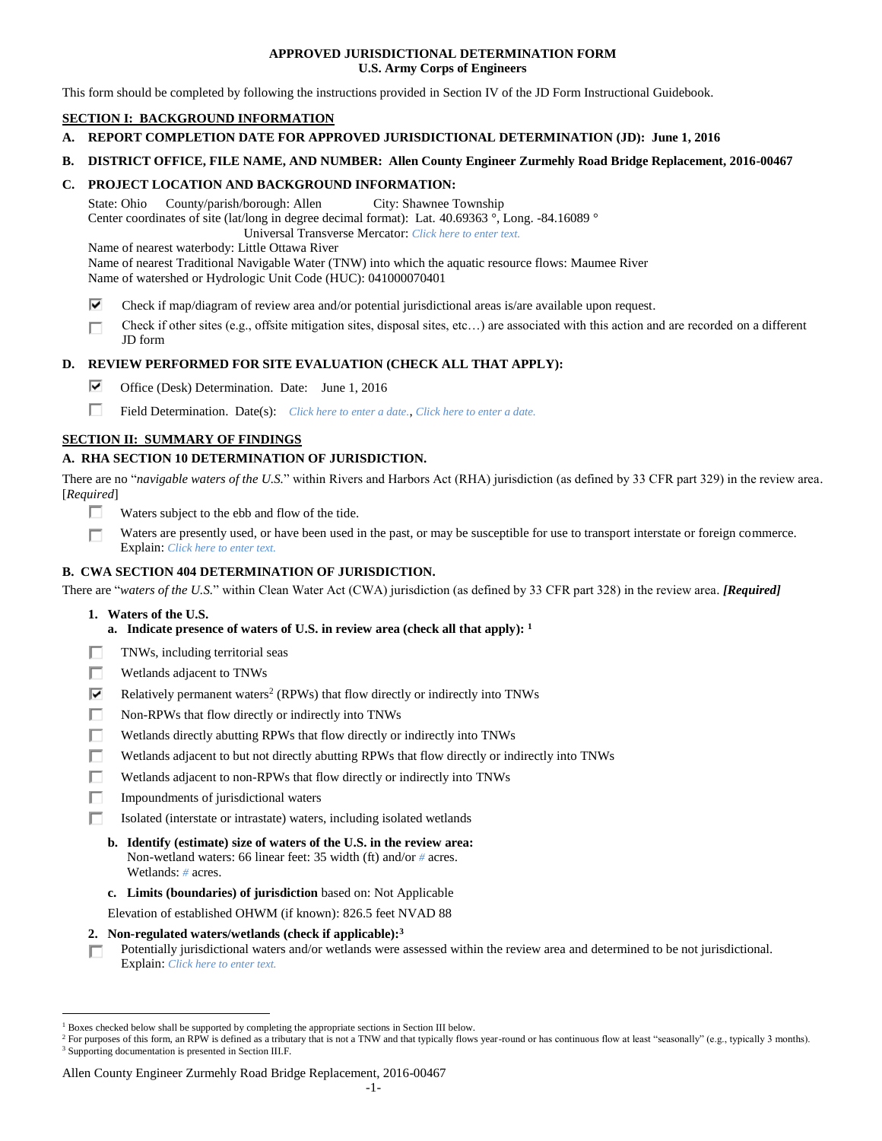## **APPROVED JURISDICTIONAL DETERMINATION FORM U.S. Army Corps of Engineers**

This form should be completed by following the instructions provided in Section IV of the JD Form Instructional Guidebook.

## **SECTION I: BACKGROUND INFORMATION**

- **A. REPORT COMPLETION DATE FOR APPROVED JURISDICTIONAL DETERMINATION (JD): June 1, 2016**
- **B. DISTRICT OFFICE, FILE NAME, AND NUMBER: Allen County Engineer Zurmehly Road Bridge Replacement, 2016-00467**

## **C. PROJECT LOCATION AND BACKGROUND INFORMATION:**

State: Ohio County/parish/borough: Allen City: Shawnee Township Center coordinates of site (lat/long in degree decimal format): Lat. 40.69363 °, Long. -84.16089 °

Universal Transverse Mercator: *Click here to enter text.*

Name of nearest waterbody: Little Ottawa River

Name of nearest Traditional Navigable Water (TNW) into which the aquatic resource flows: Maumee River Name of watershed or Hydrologic Unit Code (HUC): 041000070401

- ⊽ Check if map/diagram of review area and/or potential jurisdictional areas is/are available upon request.
- Check if other sites (e.g., offsite mitigation sites, disposal sites, etc…) are associated with this action and are recorded on a different п JD form

## **D. REVIEW PERFORMED FOR SITE EVALUATION (CHECK ALL THAT APPLY):**

- ⊽. Office (Desk) Determination. Date: June 1, 2016
- п Field Determination. Date(s): *Click here to enter a date.*, *Click here to enter a date.*

## **SECTION II: SUMMARY OF FINDINGS**

## **A. RHA SECTION 10 DETERMINATION OF JURISDICTION.**

There are no "*navigable waters of the U.S.*" within Rivers and Harbors Act (RHA) jurisdiction (as defined by 33 CFR part 329) in the review area. [*Required*]

- п Waters subject to the ebb and flow of the tide.
- Waters are presently used, or have been used in the past, or may be susceptible for use to transport interstate or foreign commerce. П Explain: *Click here to enter text.*

## **B. CWA SECTION 404 DETERMINATION OF JURISDICTION.**

There are "*waters of the U.S.*" within Clean Water Act (CWA) jurisdiction (as defined by 33 CFR part 328) in the review area. *[Required]*

**1. Waters of the U.S.**

 $\overline{a}$ 

- **a. Indicate presence of waters of U.S. in review area (check all that apply): 1**
- п TNWs, including territorial seas
- П Wetlands adjacent to TNWs
- ⊽ Relatively permanent waters<sup>2</sup> (RPWs) that flow directly or indirectly into TNWs
- п Non-RPWs that flow directly or indirectly into TNWs
- П Wetlands directly abutting RPWs that flow directly or indirectly into TNWs
- п Wetlands adjacent to but not directly abutting RPWs that flow directly or indirectly into TNWs
- Wetlands adjacent to non-RPWs that flow directly or indirectly into TNWs п
- п Impoundments of jurisdictional waters
- П. Isolated (interstate or intrastate) waters, including isolated wetlands
	- **b. Identify (estimate) size of waters of the U.S. in the review area:** Non-wetland waters: 66 linear feet: 35 width (ft) and/or *#* acres. Wetlands: *#* acres.
	- **c. Limits (boundaries) of jurisdiction** based on: Not Applicable

Elevation of established OHWM (if known): 826.5 feet NVAD 88

- **2. Non-regulated waters/wetlands (check if applicable): 3**
- Potentially jurisdictional waters and/or wetlands were assessed within the review area and determined to be not jurisdictional. п. Explain: *Click here to enter text.*

<sup>1</sup> Boxes checked below shall be supported by completing the appropriate sections in Section III below.

<sup>&</sup>lt;sup>2</sup> For purposes of this form, an RPW is defined as a tributary that is not a TNW and that typically flows year-round or has continuous flow at least "seasonally" (e.g., typically 3 months). <sup>3</sup> Supporting documentation is presented in Section III.F.

Allen County Engineer Zurmehly Road Bridge Replacement, 2016-00467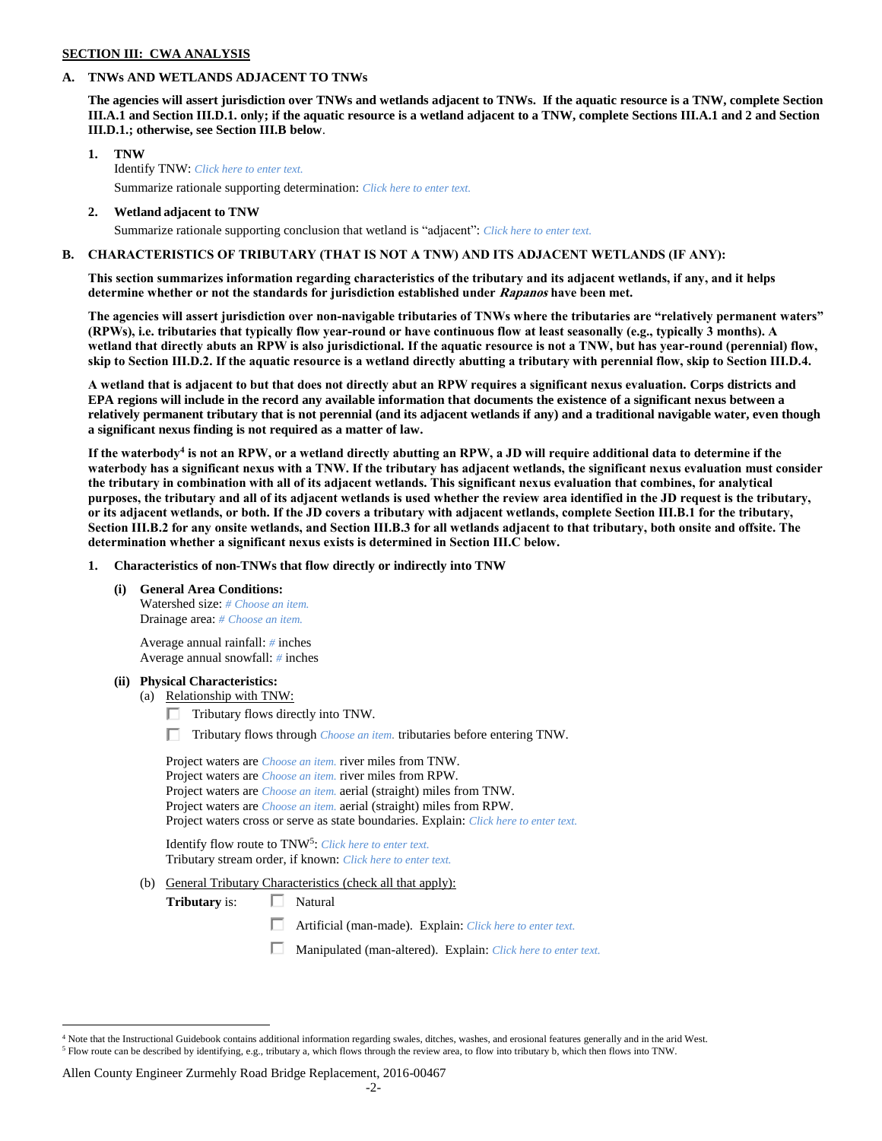#### **SECTION III: CWA ANALYSIS**

#### **A. TNWs AND WETLANDS ADJACENT TO TNWs**

**The agencies will assert jurisdiction over TNWs and wetlands adjacent to TNWs. If the aquatic resource is a TNW, complete Section III.A.1 and Section III.D.1. only; if the aquatic resource is a wetland adjacent to a TNW, complete Sections III.A.1 and 2 and Section III.D.1.; otherwise, see Section III.B below**.

- **1. TNW**  Identify TNW: *Click here to enter text.* Summarize rationale supporting determination: *Click here to enter text.*
- **2. Wetland adjacent to TNW**

# Summarize rationale supporting conclusion that wetland is "adjacent": *Click here to enter text.*

## **B. CHARACTERISTICS OF TRIBUTARY (THAT IS NOT A TNW) AND ITS ADJACENT WETLANDS (IF ANY):**

**This section summarizes information regarding characteristics of the tributary and its adjacent wetlands, if any, and it helps determine whether or not the standards for jurisdiction established under Rapanos have been met.** 

**The agencies will assert jurisdiction over non-navigable tributaries of TNWs where the tributaries are "relatively permanent waters" (RPWs), i.e. tributaries that typically flow year-round or have continuous flow at least seasonally (e.g., typically 3 months). A wetland that directly abuts an RPW is also jurisdictional. If the aquatic resource is not a TNW, but has year-round (perennial) flow, skip to Section III.D.2. If the aquatic resource is a wetland directly abutting a tributary with perennial flow, skip to Section III.D.4.**

**A wetland that is adjacent to but that does not directly abut an RPW requires a significant nexus evaluation. Corps districts and EPA regions will include in the record any available information that documents the existence of a significant nexus between a relatively permanent tributary that is not perennial (and its adjacent wetlands if any) and a traditional navigable water, even though a significant nexus finding is not required as a matter of law.**

**If the waterbody<sup>4</sup> is not an RPW, or a wetland directly abutting an RPW, a JD will require additional data to determine if the waterbody has a significant nexus with a TNW. If the tributary has adjacent wetlands, the significant nexus evaluation must consider the tributary in combination with all of its adjacent wetlands. This significant nexus evaluation that combines, for analytical purposes, the tributary and all of its adjacent wetlands is used whether the review area identified in the JD request is the tributary, or its adjacent wetlands, or both. If the JD covers a tributary with adjacent wetlands, complete Section III.B.1 for the tributary, Section III.B.2 for any onsite wetlands, and Section III.B.3 for all wetlands adjacent to that tributary, both onsite and offsite. The determination whether a significant nexus exists is determined in Section III.C below.**

**1. Characteristics of non-TNWs that flow directly or indirectly into TNW**

**(i) General Area Conditions:**

Watershed size: *# Choose an item.* Drainage area: *# Choose an item.*

Average annual rainfall: *#* inches Average annual snowfall: *#* inches

#### **(ii) Physical Characteristics:**

 $\overline{a}$ 

- (a) Relationship with TNW:
	- $\Box$  Tributary flows directly into TNW.
	- Tributary flows through *Choose an item.* tributaries before entering TNW.

| Project waters are <i>Choose an item</i> , river miles from TNW.                      |  |
|---------------------------------------------------------------------------------------|--|
| Project waters are <i>Choose an item</i> , river miles from RPW.                      |  |
| Project waters are <i>Choose an item.</i> aerial (straight) miles from TNW.           |  |
| Project waters are <i>Choose an item.</i> aerial (straight) miles from RPW.           |  |
| Project waters cross or serve as state boundaries. Explain: Click here to enter text. |  |

Identify flow route to TNW<sup>5</sup>: Click here to enter text. Tributary stream order, if known: *Click here to enter text.*

(b) General Tributary Characteristics (check all that apply):

**Tributary** is: □ Natural

П Artificial (man-made). Explain: *Click here to enter text.*

П. Manipulated (man-altered). Explain: *Click here to enter text.*

#### Allen County Engineer Zurmehly Road Bridge Replacement, 2016-00467

 $4$  Note that the Instructional Guidebook contains additional information regarding swales, ditches, washes, and erosional features generally and in the arid West. <sup>5</sup> Flow route can be described by identifying, e.g., tributary a, which flows through the review area, to flow into tributary b, which then flows into TNW.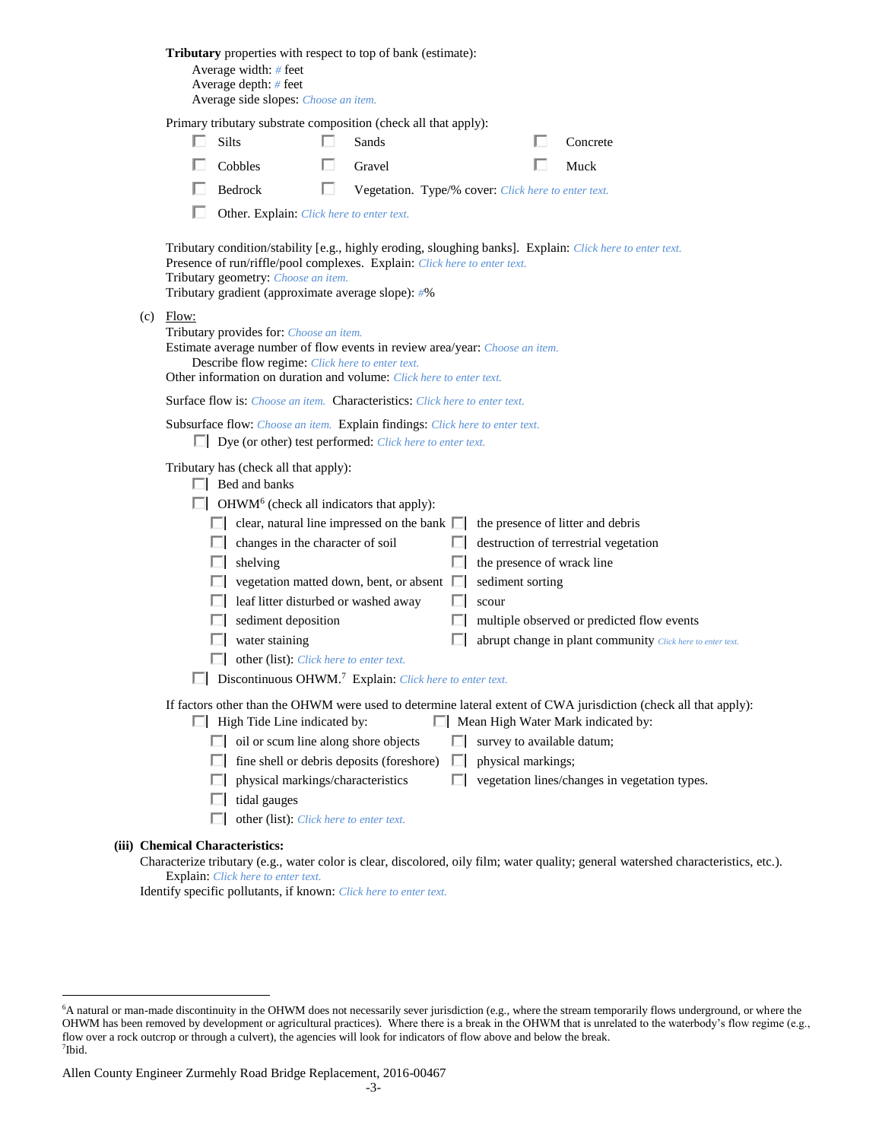| Average depth: # feet<br>Average side slopes: Choose an item.                                                                                                                                                                                                                                                                                                                                                                                                                                                                                                                                                                                                                                                                                                                                                                                                                                                                                                                                                                                                                                                                                                                                                                                                                                                                               |  |
|---------------------------------------------------------------------------------------------------------------------------------------------------------------------------------------------------------------------------------------------------------------------------------------------------------------------------------------------------------------------------------------------------------------------------------------------------------------------------------------------------------------------------------------------------------------------------------------------------------------------------------------------------------------------------------------------------------------------------------------------------------------------------------------------------------------------------------------------------------------------------------------------------------------------------------------------------------------------------------------------------------------------------------------------------------------------------------------------------------------------------------------------------------------------------------------------------------------------------------------------------------------------------------------------------------------------------------------------|--|
| Primary tributary substrate composition (check all that apply):<br><b>Silts</b><br>I.<br>Sands<br>Concrete                                                                                                                                                                                                                                                                                                                                                                                                                                                                                                                                                                                                                                                                                                                                                                                                                                                                                                                                                                                                                                                                                                                                                                                                                                  |  |
| Cobbles<br>Gravel<br>Muck                                                                                                                                                                                                                                                                                                                                                                                                                                                                                                                                                                                                                                                                                                                                                                                                                                                                                                                                                                                                                                                                                                                                                                                                                                                                                                                   |  |
| Bedrock<br>U<br>Vegetation. Type/% cover: Click here to enter text.                                                                                                                                                                                                                                                                                                                                                                                                                                                                                                                                                                                                                                                                                                                                                                                                                                                                                                                                                                                                                                                                                                                                                                                                                                                                         |  |
| Other. Explain: Click here to enter text.                                                                                                                                                                                                                                                                                                                                                                                                                                                                                                                                                                                                                                                                                                                                                                                                                                                                                                                                                                                                                                                                                                                                                                                                                                                                                                   |  |
| Tributary condition/stability [e.g., highly eroding, sloughing banks]. Explain: Click here to enter text.<br>Presence of run/riffle/pool complexes. Explain: Click here to enter text.<br>Tributary geometry: Choose an item.<br>Tributary gradient (approximate average slope): #%                                                                                                                                                                                                                                                                                                                                                                                                                                                                                                                                                                                                                                                                                                                                                                                                                                                                                                                                                                                                                                                         |  |
| $(c)$ Flow:<br>Tributary provides for: Choose an item.<br>Estimate average number of flow events in review area/year: Choose an item.<br>Describe flow regime: Click here to enter text.<br>Other information on duration and volume: Click here to enter text.                                                                                                                                                                                                                                                                                                                                                                                                                                                                                                                                                                                                                                                                                                                                                                                                                                                                                                                                                                                                                                                                             |  |
| <b>Surface flow is:</b> <i>Choose an item.</i> <b>Characteristics:</b> <i>Click here to enter text.</i>                                                                                                                                                                                                                                                                                                                                                                                                                                                                                                                                                                                                                                                                                                                                                                                                                                                                                                                                                                                                                                                                                                                                                                                                                                     |  |
| Subsurface flow: Choose an item. Explain findings: Click here to enter text.<br>$\Box$ Dye (or other) test performed: <i>Click here to enter text.</i>                                                                                                                                                                                                                                                                                                                                                                                                                                                                                                                                                                                                                                                                                                                                                                                                                                                                                                                                                                                                                                                                                                                                                                                      |  |
| Tributary has (check all that apply):<br>$\Box$ Bed and banks<br>$\Box$ OHWM <sup>6</sup> (check all indicators that apply):<br>$\Box$ clear, natural line impressed on the bank $\Box$<br>the presence of litter and debris<br>$\Box$ changes in the character of soil<br>destruction of terrestrial vegetation<br>the presence of wrack line<br>$\Box$ shelving<br>ш<br>vegetation matted down, bent, or absent<br>sediment sorting<br>leaf litter disturbed or washed away<br>scour<br>Ш<br>$\Box$ sediment deposition<br>multiple observed or predicted flow events<br>ш<br>water staining<br>abrupt change in plant community Click here to enter text.<br>other (list): <i>Click here to enter text.</i><br>Discontinuous OHWM. <sup>7</sup> Explain: Click here to enter text.<br>If factors other than the OHWM were used to determine lateral extent of CWA jurisdiction (check all that apply):<br>Mean High Water Mark indicated by:<br>$\Box$ High Tide Line indicated by:<br>$\Box$ oil or scum line along shore objects<br>survey to available datum;<br>fine shell or debris deposits (foreshore)<br>physical markings;<br>$\Box$<br>physical markings/characteristics<br>vegetation lines/changes in vegetation types.<br>L.<br>tidal gauges<br>other (list): Click here to enter text.<br><b>Chemical Characteristics:</b> |  |

Characterize tributary (e.g., water color is clear, discolored, oily film; water quality; general watershed characteristics, etc.). Explain: *Click here to enter text.*

Identify specific pollutants, if known: *Click here to enter text.*

**(iii)** 

 $\overline{a}$ 

<sup>6</sup>A natural or man-made discontinuity in the OHWM does not necessarily sever jurisdiction (e.g., where the stream temporarily flows underground, or where the OHWM has been removed by development or agricultural practices). Where there is a break in the OHWM that is unrelated to the waterbody's flow regime (e.g., flow over a rock outcrop or through a culvert), the agencies will look for indicators of flow above and below the break. 7 Ibid.

Allen County Engineer Zurmehly Road Bridge Replacement, 2016-00467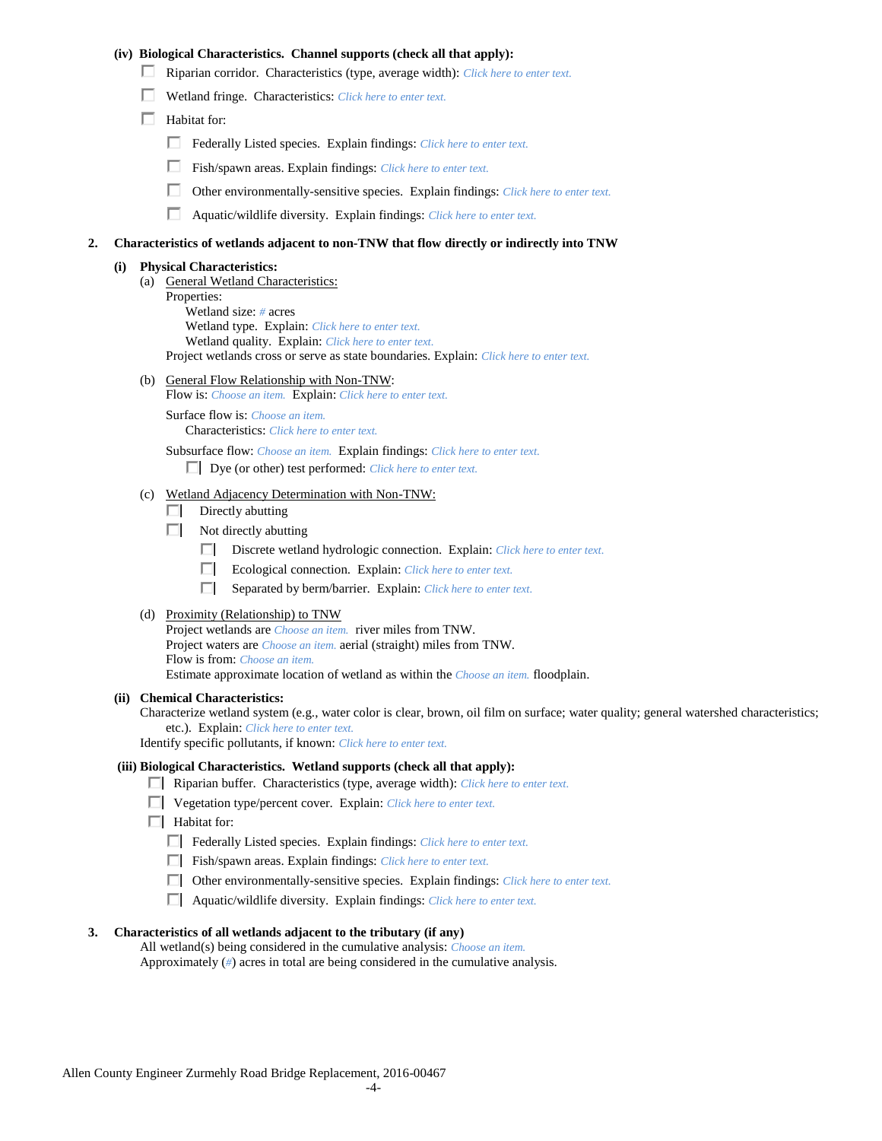## **(iv) Biological Characteristics. Channel supports (check all that apply):**

- Riparian corridor. Characteristics (type, average width): *Click here to enter text.*
- Wetland fringe. Characteristics: *Click here to enter text.*
- $\Box$  Habitat for:
	- Federally Listed species. Explain findings: *Click here to enter text.*
	- П. Fish/spawn areas. Explain findings: *Click here to enter text.*
	- П. Other environmentally-sensitive species. Explain findings: *Click here to enter text.*
	- П. Aquatic/wildlife diversity. Explain findings: *Click here to enter text.*

#### **2. Characteristics of wetlands adjacent to non-TNW that flow directly or indirectly into TNW**

#### **(i) Physical Characteristics:**

- (a) General Wetland Characteristics:
	- Properties:

Wetland size: *#* acres Wetland type. Explain: *Click here to enter text.*

Wetland quality. Explain: *Click here to enter text.*

Project wetlands cross or serve as state boundaries. Explain: *Click here to enter text.*

(b) General Flow Relationship with Non-TNW: Flow is: *Choose an item.* Explain: *Click here to enter text.*

Surface flow is: *Choose an item.* Characteristics: *Click here to enter text.*

Subsurface flow: *Choose an item.* Explain findings: *Click here to enter text.*

Dye (or other) test performed: *Click here to enter text.*

#### (c) Wetland Adjacency Determination with Non-TNW:

- $\Box$  Directly abutting
- Not directly abutting
	- Discrete wetland hydrologic connection. Explain: *Click here to enter text.*
	- $\Box$ Ecological connection. Explain: *Click here to enter text.*
	- $\Box$ Separated by berm/barrier. Explain: *Click here to enter text.*
- (d) Proximity (Relationship) to TNW

Project wetlands are *Choose an item.* river miles from TNW. Project waters are *Choose an item.* aerial (straight) miles from TNW. Flow is from: *Choose an item.* Estimate approximate location of wetland as within the *Choose an item.* floodplain.

#### **(ii) Chemical Characteristics:**

Characterize wetland system (e.g., water color is clear, brown, oil film on surface; water quality; general watershed characteristics; etc.). Explain: *Click here to enter text.*

Identify specific pollutants, if known: *Click here to enter text.*

#### **(iii) Biological Characteristics. Wetland supports (check all that apply):**

- Riparian buffer. Characteristics (type, average width): *Click here to enter text.*
- Vegetation type/percent cover. Explain: *Click here to enter text.*
- $\Box$  Habitat for:
	- Federally Listed species. Explain findings: *Click here to enter text*.
	- Fish/spawn areas. Explain findings: *Click here to enter text*.
	- Other environmentally-sensitive species. Explain findings: *Click here to enter text.*
	- Aquatic/wildlife diversity. Explain findings: *Click here to enter text.*

#### **3. Characteristics of all wetlands adjacent to the tributary (if any)**

All wetland(s) being considered in the cumulative analysis: *Choose an item.* Approximately (*#*) acres in total are being considered in the cumulative analysis.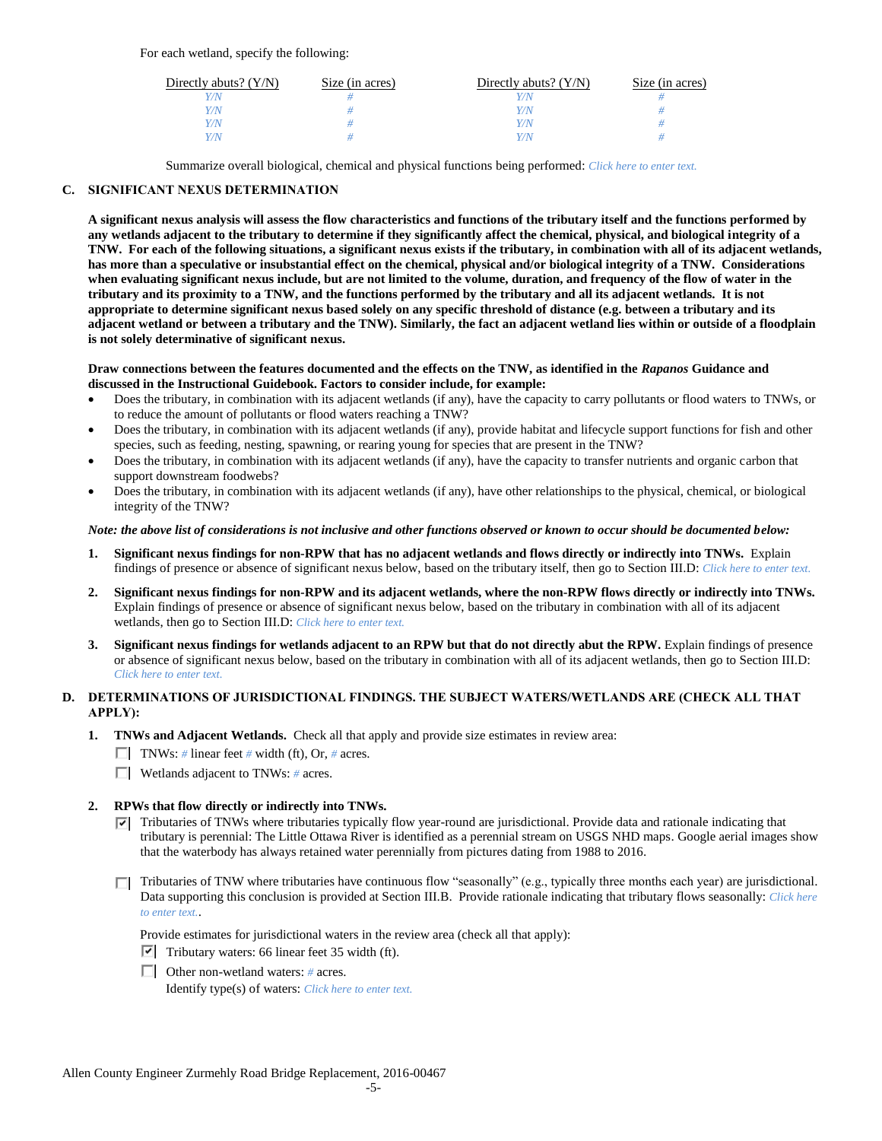For each wetland, specify the following:

| Directly abuts? $(Y/N)$ | Size (in acres) | Directly abuts? $(Y/N)$ | Size (in acres) |
|-------------------------|-----------------|-------------------------|-----------------|
|                         |                 |                         |                 |
| Y/N                     |                 | Y/N                     |                 |
| Y / N                   |                 | Y/N                     |                 |
|                         |                 | Y / N                   |                 |

Summarize overall biological, chemical and physical functions being performed: *Click here to enter text.*

## **C. SIGNIFICANT NEXUS DETERMINATION**

**A significant nexus analysis will assess the flow characteristics and functions of the tributary itself and the functions performed by any wetlands adjacent to the tributary to determine if they significantly affect the chemical, physical, and biological integrity of a TNW. For each of the following situations, a significant nexus exists if the tributary, in combination with all of its adjacent wetlands, has more than a speculative or insubstantial effect on the chemical, physical and/or biological integrity of a TNW. Considerations when evaluating significant nexus include, but are not limited to the volume, duration, and frequency of the flow of water in the tributary and its proximity to a TNW, and the functions performed by the tributary and all its adjacent wetlands. It is not appropriate to determine significant nexus based solely on any specific threshold of distance (e.g. between a tributary and its adjacent wetland or between a tributary and the TNW). Similarly, the fact an adjacent wetland lies within or outside of a floodplain is not solely determinative of significant nexus.** 

#### **Draw connections between the features documented and the effects on the TNW, as identified in the** *Rapanos* **Guidance and discussed in the Instructional Guidebook. Factors to consider include, for example:**

- Does the tributary, in combination with its adjacent wetlands (if any), have the capacity to carry pollutants or flood waters to TNWs, or to reduce the amount of pollutants or flood waters reaching a TNW?
- Does the tributary, in combination with its adjacent wetlands (if any), provide habitat and lifecycle support functions for fish and other species, such as feeding, nesting, spawning, or rearing young for species that are present in the TNW?
- Does the tributary, in combination with its adjacent wetlands (if any), have the capacity to transfer nutrients and organic carbon that support downstream foodwebs?
- Does the tributary, in combination with its adjacent wetlands (if any), have other relationships to the physical, chemical, or biological integrity of the TNW?

## *Note: the above list of considerations is not inclusive and other functions observed or known to occur should be documented below:*

- **1. Significant nexus findings for non-RPW that has no adjacent wetlands and flows directly or indirectly into TNWs.** Explain findings of presence or absence of significant nexus below, based on the tributary itself, then go to Section III.D: *Click here to enter text.*
- **2. Significant nexus findings for non-RPW and its adjacent wetlands, where the non-RPW flows directly or indirectly into TNWs.**  Explain findings of presence or absence of significant nexus below, based on the tributary in combination with all of its adjacent wetlands, then go to Section III.D: *Click here to enter text.*
- **3. Significant nexus findings for wetlands adjacent to an RPW but that do not directly abut the RPW.** Explain findings of presence or absence of significant nexus below, based on the tributary in combination with all of its adjacent wetlands, then go to Section III.D: *Click here to enter text.*

## **D. DETERMINATIONS OF JURISDICTIONAL FINDINGS. THE SUBJECT WATERS/WETLANDS ARE (CHECK ALL THAT APPLY):**

- **1. TNWs and Adjacent Wetlands.** Check all that apply and provide size estimates in review area:
	- TNWs: *#* linear feet *#* width (ft), Or, *#* acres.
	- Wetlands adjacent to TNWs: *#* acres.

## **2. RPWs that flow directly or indirectly into TNWs.**

- $\nabla$  Tributaries of TNWs where tributaries typically flow year-round are jurisdictional. Provide data and rationale indicating that tributary is perennial: The Little Ottawa River is identified as a perennial stream on USGS NHD maps. Google aerial images show that the waterbody has always retained water perennially from pictures dating from 1988 to 2016.
- $\Box$  Tributaries of TNW where tributaries have continuous flow "seasonally" (e.g., typically three months each year) are jurisdictional. Data supporting this conclusion is provided at Section III.B. Provide rationale indicating that tributary flows seasonally: *Click here to enter text.*.

Provide estimates for jurisdictional waters in the review area (check all that apply):

- $\triangledown$  Tributary waters: 66 linear feet 35 width (ft).
- Other non-wetland waters: *#* acres. Identify type(s) of waters: *Click here to enter text.*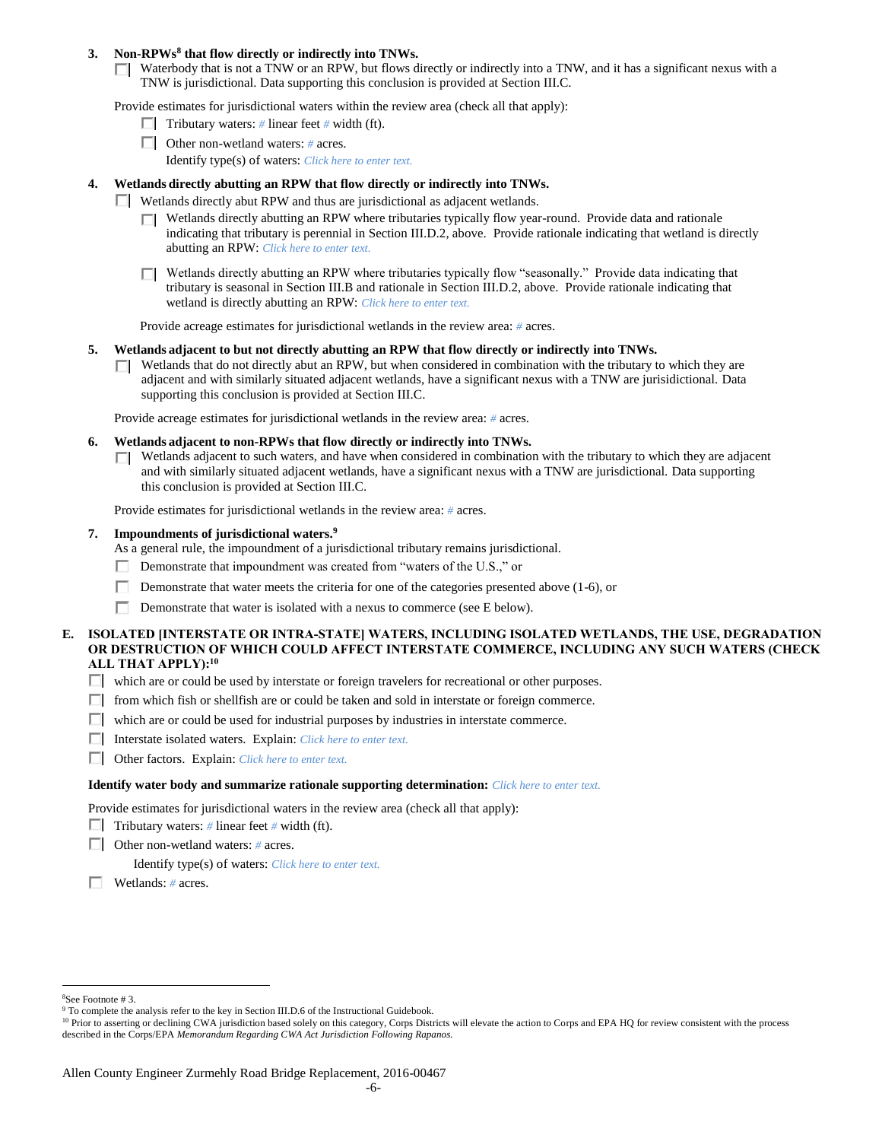#### **3. Non-RPWs<sup>8</sup> that flow directly or indirectly into TNWs.**

 $\Box$  Waterbody that is not a TNW or an RPW, but flows directly or indirectly into a TNW, and it has a significant nexus with a TNW is jurisdictional. Data supporting this conclusion is provided at Section III.C.

Provide estimates for jurisdictional waters within the review area (check all that apply):

- **Tributary waters:** # linear feet # width (ft).
- Other non-wetland waters: *#* acres.
	- Identify type(s) of waters: *Click here to enter text.*

#### **4. Wetlands directly abutting an RPW that flow directly or indirectly into TNWs.**

- Wetlands directly abut RPW and thus are jurisdictional as adjacent wetlands.
	- $\Box$  Wetlands directly abutting an RPW where tributaries typically flow year-round. Provide data and rationale indicating that tributary is perennial in Section III.D.2, above. Provide rationale indicating that wetland is directly abutting an RPW: *Click here to enter text.*
	- $\Box$  Wetlands directly abutting an RPW where tributaries typically flow "seasonally." Provide data indicating that tributary is seasonal in Section III.B and rationale in Section III.D.2, above. Provide rationale indicating that wetland is directly abutting an RPW: *Click here to enter text.*

Provide acreage estimates for jurisdictional wetlands in the review area: *#* acres.

- **5. Wetlands adjacent to but not directly abutting an RPW that flow directly or indirectly into TNWs.**
	- $\Box$  Wetlands that do not directly abut an RPW, but when considered in combination with the tributary to which they are adjacent and with similarly situated adjacent wetlands, have a significant nexus with a TNW are jurisidictional. Data supporting this conclusion is provided at Section III.C.

Provide acreage estimates for jurisdictional wetlands in the review area: *#* acres.

- **6. Wetlands adjacent to non-RPWs that flow directly or indirectly into TNWs.** 
	- $\Box$  Wetlands adjacent to such waters, and have when considered in combination with the tributary to which they are adjacent and with similarly situated adjacent wetlands, have a significant nexus with a TNW are jurisdictional. Data supporting this conclusion is provided at Section III.C.

Provide estimates for jurisdictional wetlands in the review area: *#* acres.

#### **7. Impoundments of jurisdictional waters. 9**

As a general rule, the impoundment of a jurisdictional tributary remains jurisdictional.

- Demonstrate that impoundment was created from "waters of the U.S.," or
- Demonstrate that water meets the criteria for one of the categories presented above (1-6), or
- П. Demonstrate that water is isolated with a nexus to commerce (see E below).
- **E. ISOLATED [INTERSTATE OR INTRA-STATE] WATERS, INCLUDING ISOLATED WETLANDS, THE USE, DEGRADATION OR DESTRUCTION OF WHICH COULD AFFECT INTERSTATE COMMERCE, INCLUDING ANY SUCH WATERS (CHECK ALL THAT APPLY):<sup>10</sup>**
	- $\Box$  which are or could be used by interstate or foreign travelers for recreational or other purposes.
	- $\Box$  from which fish or shellfish are or could be taken and sold in interstate or foreign commerce.
	- $\Box$  which are or could be used for industrial purposes by industries in interstate commerce.
	- Interstate isolated waters.Explain: *Click here to enter text.*
	- Other factors.Explain: *Click here to enter text.*

#### **Identify water body and summarize rationale supporting determination:** *Click here to enter text.*

Provide estimates for jurisdictional waters in the review area (check all that apply):

- Tributary waters:  $\#$  linear feet  $\#$  width (ft).
- Other non-wetland waters: *#* acres.

Identify type(s) of waters: *Click here to enter text.*

Wetlands: *#* acres.

 $\overline{a}$ <sup>8</sup>See Footnote # 3.

<sup>&</sup>lt;sup>9</sup> To complete the analysis refer to the key in Section III.D.6 of the Instructional Guidebook.

<sup>&</sup>lt;sup>10</sup> Prior to asserting or declining CWA jurisdiction based solely on this category, Corps Districts will elevate the action to Corps and EPA HQ for review consistent with the process described in the Corps/EPA *Memorandum Regarding CWA Act Jurisdiction Following Rapanos.*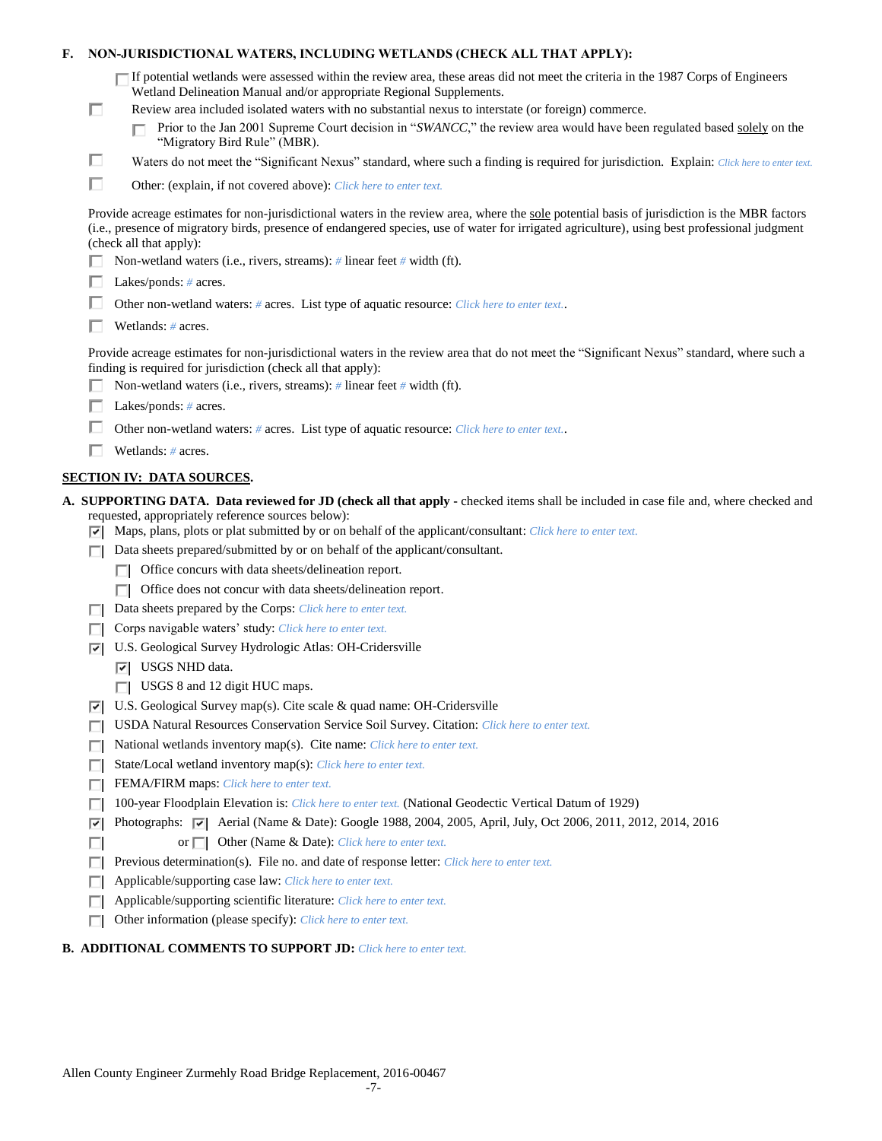| F. |   | NON-JURISDICTIONAL WATERS, INCLUDING WETLANDS (CHECK ALL THAT APPLY):                                                                                                                                                                                                                                                     |
|----|---|---------------------------------------------------------------------------------------------------------------------------------------------------------------------------------------------------------------------------------------------------------------------------------------------------------------------------|
|    |   | $\Box$ If potential wetlands were assessed within the review area, these areas did not meet the criteria in the 1987 Corps of Engineers<br>Wetland Delineation Manual and/or appropriate Regional Supplements.                                                                                                            |
|    | □ | Review area included isolated waters with no substantial nexus to interstate (or foreign) commerce.                                                                                                                                                                                                                       |
|    |   | Prior to the Jan 2001 Supreme Court decision in "SWANCC," the review area would have been regulated based solely on the<br>"Migratory Bird Rule" (MBR).                                                                                                                                                                   |
|    | □ | Waters do not meet the "Significant Nexus" standard, where such a finding is required for jurisdiction. Explain: Click here to enter text.                                                                                                                                                                                |
|    | п | Other: (explain, if not covered above): Click here to enter text.                                                                                                                                                                                                                                                         |
|    |   | Provide acreage estimates for non-jurisdictional waters in the review area, where the sole potential basis of jurisdiction is the MBR factors<br>(i.e., presence of migratory birds, presence of endangered species, use of water for irrigated agriculture), using best professional judgment<br>(check all that apply): |
|    |   | Non-wetland waters (i.e., rivers, streams): # linear feet # width (ft).                                                                                                                                                                                                                                                   |
|    |   | Lakes/ponds: $# \, \text{acres.}$                                                                                                                                                                                                                                                                                         |
|    |   | Other non-wetland waters: # acres. List type of aquatic resource: Click here to enter text                                                                                                                                                                                                                                |
|    |   | Wetlands: $#$ acres.                                                                                                                                                                                                                                                                                                      |
|    |   | Provide acreage estimates for non-jurisdictional waters in the review area that do not meet the "Significant Nexus" standard, where such a<br>finding is required for jurisdiction (check all that apply):                                                                                                                |
|    |   | Non-wetland waters (i.e., rivers, streams): $#$ linear feet $#$ width (ft).                                                                                                                                                                                                                                               |
|    |   | Lakes/ponds: $# \, \text{acres.}$                                                                                                                                                                                                                                                                                         |
|    |   | Other non-wetland waters: # acres. List type of aquatic resource: Click here to enter text                                                                                                                                                                                                                                |
|    |   | Wetlands: $#$ acres.                                                                                                                                                                                                                                                                                                      |
|    |   | <b>SECTION IV: DATA SOURCES.</b>                                                                                                                                                                                                                                                                                          |
|    |   | A. SUPPORTING DATA. Data reviewed for JD (check all that apply - checked items shall be included in case file and, where checked and<br>requested, appropriately reference sources below):<br>$\triangledown$ Maps, plans, plots or plat submitted by or on behalf of the applicant/consultant: Click here to enter text. |
|    | ш | Data sheets prepared/submitted by or on behalf of the applicant/consultant.                                                                                                                                                                                                                                               |
|    |   | Office concurs with data sheets/delineation report.                                                                                                                                                                                                                                                                       |
|    |   | Office does not concur with data sheets/delineation report.                                                                                                                                                                                                                                                               |
|    | П | Data sheets prepared by the Corps: Click here to enter text.                                                                                                                                                                                                                                                              |
|    |   | Corps navigable waters' study: Click here to enter text.                                                                                                                                                                                                                                                                  |
|    | 罓 | U.S. Geological Survey Hydrologic Atlas: OH-Cridersville                                                                                                                                                                                                                                                                  |
|    |   | $ \overline{v} $ USGS NHD data.                                                                                                                                                                                                                                                                                           |
|    |   | $\Box$ USGS 8 and 12 digit HUC maps.                                                                                                                                                                                                                                                                                      |
|    | 罓 | U.S. Geological Survey map(s). Cite scale $\&$ quad name: OH-Cridersville                                                                                                                                                                                                                                                 |
|    |   | USDA Natural Resources Conservation Service Soil Survey. Citation: Click here to enter text.                                                                                                                                                                                                                              |
|    | Е | National wetlands inventory map(s). Cite name: Click here to enter text.                                                                                                                                                                                                                                                  |
|    | Е | State/Local wetland inventory map(s): Click here to enter text.                                                                                                                                                                                                                                                           |
|    | п | FEMA/FIRM maps: Click here to enter text.                                                                                                                                                                                                                                                                                 |
|    |   | 100-year Floodplain Elevation is: Click here to enter text. (National Geodectic Vertical Datum of 1929)                                                                                                                                                                                                                   |
|    |   | Photographs: $\sqrt{ }$ Aerial (Name & Date): Google 1988, 2004, 2005, April, July, Oct 2006, 2011, 2012, 2014, 2016                                                                                                                                                                                                      |
|    | ⊽ |                                                                                                                                                                                                                                                                                                                           |
|    |   | Other (Name & Date): Click here to enter text.<br>or $\Box$                                                                                                                                                                                                                                                               |
|    | п | Previous determination(s). File no. and date of response letter: Click here to enter text.                                                                                                                                                                                                                                |
|    | П | Applicable/supporting case law: Click here to enter text.                                                                                                                                                                                                                                                                 |
|    | Е | Applicable/supporting scientific literature: Click here to enter text.                                                                                                                                                                                                                                                    |

## **B. ADDITIONAL COMMENTS TO SUPPORT JD:** *Click here to enter text.*